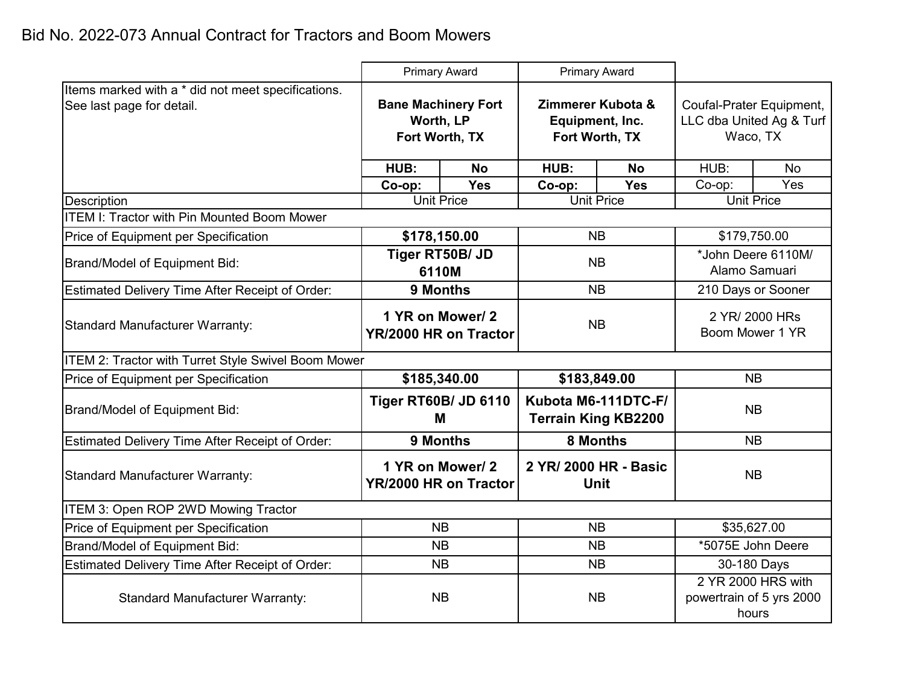|                                                                                 | <b>Primary Award</b>                                      |                                          | <b>Primary Award</b>                                   |                                                   |                                                                  |           |  |
|---------------------------------------------------------------------------------|-----------------------------------------------------------|------------------------------------------|--------------------------------------------------------|---------------------------------------------------|------------------------------------------------------------------|-----------|--|
| Items marked with a * did not meet specifications.<br>See last page for detail. | <b>Bane Machinery Fort</b><br>Worth, LP<br>Fort Worth, TX |                                          | Zimmerer Kubota &<br>Equipment, Inc.<br>Fort Worth, TX |                                                   | Coufal-Prater Equipment,<br>LLC dba United Ag & Turf<br>Waco, TX |           |  |
|                                                                                 | HUB:                                                      | <b>No</b>                                |                                                        | <b>No</b>                                         | HUB:                                                             | <b>No</b> |  |
|                                                                                 | Co-op:                                                    | Yes                                      | Co-op:                                                 | <b>Yes</b>                                        | Co-op:                                                           | Yes       |  |
| <b>Description</b>                                                              | <b>Unit Price</b>                                         |                                          | <b>Unit Price</b>                                      |                                                   | <b>Unit Price</b>                                                |           |  |
| <b>ITEM I: Tractor with Pin Mounted Boom Mower</b>                              |                                                           |                                          |                                                        |                                                   |                                                                  |           |  |
| Price of Equipment per Specification                                            | \$178,150.00                                              |                                          | <b>NB</b>                                              |                                                   | \$179,750.00                                                     |           |  |
| <b>Brand/Model of Equipment Bid:</b>                                            | Tiger RT50B/ JD<br>6110M                                  |                                          | <b>NB</b>                                              |                                                   | *John Deere 6110M/<br>Alamo Samuari                              |           |  |
| Estimated Delivery Time After Receipt of Order:                                 | 9 Months                                                  |                                          | <b>NB</b>                                              |                                                   | 210 Days or Sooner                                               |           |  |
| <b>Standard Manufacturer Warranty:</b>                                          | 1 YR on Mower/2<br>YR/2000 HR on Tractor                  |                                          | <b>NB</b>                                              |                                                   | 2 YR/ 2000 HRs<br>Boom Mower 1 YR                                |           |  |
| ITEM 2: Tractor with Turret Style Swivel Boom Mower                             |                                                           |                                          |                                                        |                                                   |                                                                  |           |  |
| Price of Equipment per Specification                                            | \$185,340.00                                              |                                          | \$183,849.00                                           |                                                   | <b>NB</b>                                                        |           |  |
| <b>Brand/Model of Equipment Bid:</b>                                            |                                                           | Tiger RT60B/ JD 6110<br>м                |                                                        | Kubota M6-111DTC-F/<br><b>Terrain King KB2200</b> |                                                                  | <b>NB</b> |  |
| Estimated Delivery Time After Receipt of Order:                                 |                                                           | 9 Months                                 | 8 Months                                               |                                                   | <b>NB</b>                                                        |           |  |
| <b>Standard Manufacturer Warranty:</b>                                          |                                                           | 1 YR on Mower/2<br>YR/2000 HR on Tractor | 2 YR/ 2000 HR - Basic<br><b>Unit</b>                   |                                                   | <b>NB</b>                                                        |           |  |
| ITEM 3: Open ROP 2WD Mowing Tractor                                             |                                                           |                                          |                                                        |                                                   |                                                                  |           |  |
| Price of Equipment per Specification                                            | <b>NB</b>                                                 |                                          | <b>NB</b>                                              |                                                   | \$35,627.00                                                      |           |  |
| Brand/Model of Equipment Bid:                                                   | <b>NB</b>                                                 |                                          | <b>NB</b>                                              |                                                   | *5075E John Deere                                                |           |  |
| Estimated Delivery Time After Receipt of Order:                                 | <b>NB</b>                                                 |                                          | <b>NB</b>                                              |                                                   | 30-180 Days                                                      |           |  |
| <b>Standard Manufacturer Warranty:</b>                                          | <b>NB</b>                                                 |                                          | <b>NB</b>                                              |                                                   | 2 YR 2000 HRS with<br>powertrain of 5 yrs 2000<br>hours          |           |  |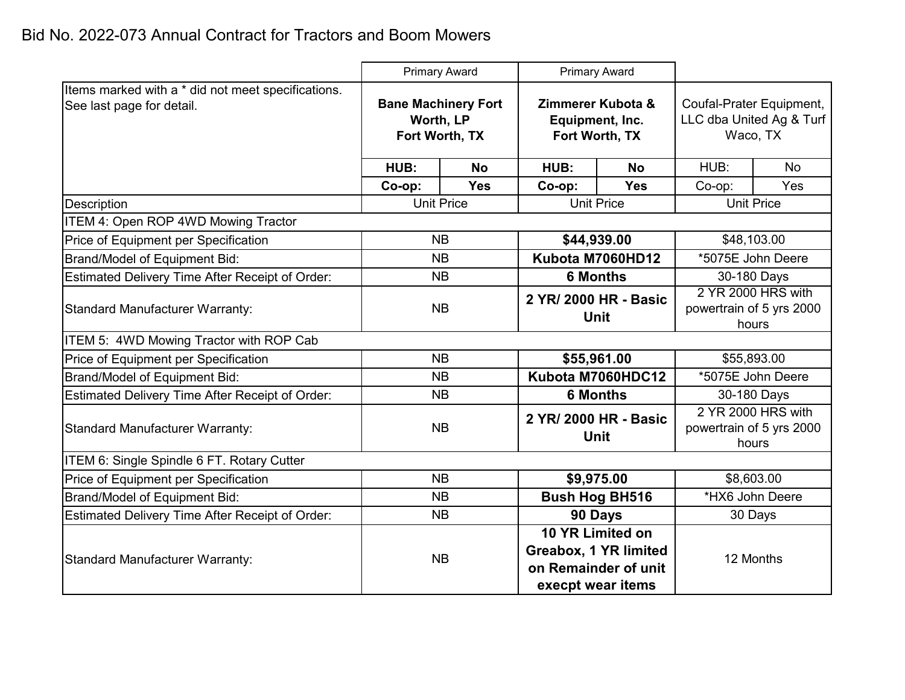|                                                                                 | <b>Primary Award</b>                                      |            | <b>Primary Award</b>                                   |                                                                                        |                                                                  |                   |  |
|---------------------------------------------------------------------------------|-----------------------------------------------------------|------------|--------------------------------------------------------|----------------------------------------------------------------------------------------|------------------------------------------------------------------|-------------------|--|
| Items marked with a * did not meet specifications.<br>See last page for detail. | <b>Bane Machinery Fort</b><br>Worth, LP<br>Fort Worth, TX |            | Zimmerer Kubota &<br>Equipment, Inc.<br>Fort Worth, TX |                                                                                        | Coufal-Prater Equipment,<br>LLC dba United Ag & Turf<br>Waco, TX |                   |  |
|                                                                                 | HUB:                                                      | <b>No</b>  | HUB:                                                   | <b>No</b>                                                                              | HUB:                                                             | <b>No</b>         |  |
|                                                                                 | Co-op:                                                    | <b>Yes</b> | Co-op:                                                 | <b>Yes</b>                                                                             | Co-op:                                                           | Yes               |  |
| <b>Description</b>                                                              | <b>Unit Price</b>                                         |            | <b>Unit Price</b>                                      |                                                                                        | <b>Unit Price</b>                                                |                   |  |
| ITEM 4: Open ROP 4WD Mowing Tractor                                             |                                                           |            |                                                        |                                                                                        |                                                                  |                   |  |
| Price of Equipment per Specification                                            | <b>NB</b>                                                 |            | \$44,939.00                                            |                                                                                        | \$48,103.00                                                      |                   |  |
| <b>Brand/Model of Equipment Bid:</b>                                            | NB                                                        |            | Kubota M7060HD12                                       |                                                                                        | *5075E John Deere                                                |                   |  |
| Estimated Delivery Time After Receipt of Order:                                 | <b>NB</b>                                                 |            | <b>6 Months</b>                                        |                                                                                        | 30-180 Days                                                      |                   |  |
| <b>Standard Manufacturer Warranty:</b>                                          | <b>NB</b>                                                 |            | 2 YR/ 2000 HR - Basic<br><b>Unit</b>                   |                                                                                        | 2 YR 2000 HRS with<br>powertrain of 5 yrs 2000<br>hours          |                   |  |
| ITEM 5: 4WD Mowing Tractor with ROP Cab                                         |                                                           |            |                                                        |                                                                                        |                                                                  |                   |  |
| Price of Equipment per Specification                                            | <b>NB</b>                                                 |            | \$55,961.00                                            |                                                                                        | \$55,893.00                                                      |                   |  |
| Brand/Model of Equipment Bid:                                                   |                                                           | <b>NB</b>  |                                                        | Kubota M7060HDC12                                                                      |                                                                  | *5075E John Deere |  |
| Estimated Delivery Time After Receipt of Order:                                 | <b>NB</b>                                                 |            | <b>6 Months</b>                                        |                                                                                        | 30-180 Days                                                      |                   |  |
| Standard Manufacturer Warranty:                                                 | <b>NB</b>                                                 |            | 2 YR/ 2000 HR - Basic<br><b>Unit</b>                   |                                                                                        | 2 YR 2000 HRS with<br>powertrain of 5 yrs 2000<br>hours          |                   |  |
| ITEM 6: Single Spindle 6 FT. Rotary Cutter                                      |                                                           |            |                                                        |                                                                                        |                                                                  |                   |  |
| Price of Equipment per Specification                                            | <b>NB</b>                                                 |            |                                                        | \$9,975.00                                                                             | \$8,603.00                                                       |                   |  |
| Brand/Model of Equipment Bid:                                                   | <b>NB</b>                                                 |            | <b>Bush Hog BH516</b>                                  |                                                                                        | *HX6 John Deere                                                  |                   |  |
| Estimated Delivery Time After Receipt of Order:                                 | <b>NB</b>                                                 |            | 90 Days                                                |                                                                                        |                                                                  | 30 Days           |  |
| <b>Standard Manufacturer Warranty:</b>                                          | <b>NB</b>                                                 |            |                                                        | 10 YR Limited on<br>Greabox, 1 YR limited<br>on Remainder of unit<br>execpt wear items | 12 Months                                                        |                   |  |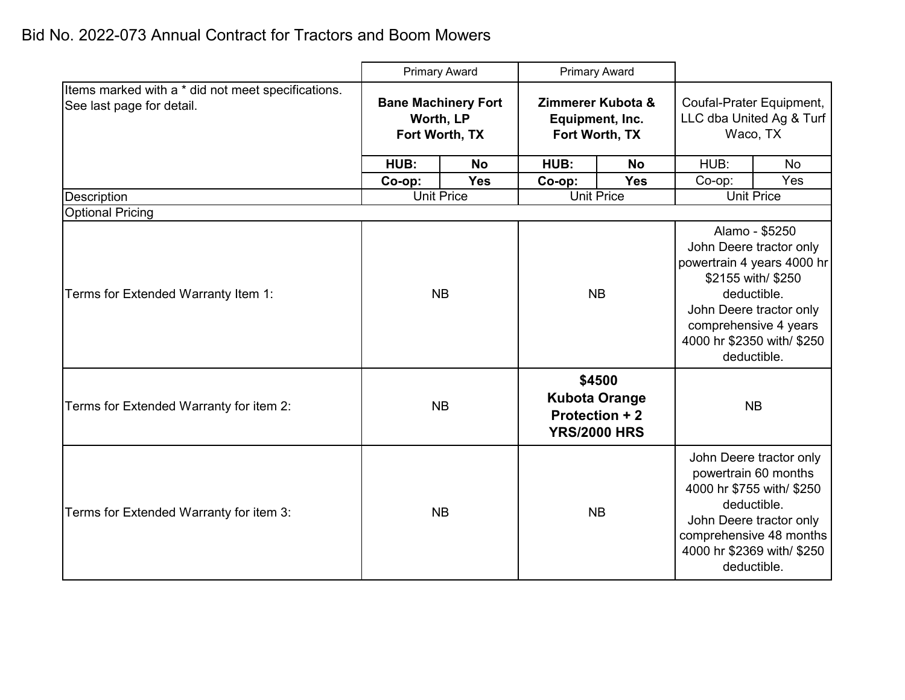|                                                                                 | <b>Primary Award</b>                                      |            | <b>Primary Award</b>                                                    |            |                                                                                                                                                                                                               |           |
|---------------------------------------------------------------------------------|-----------------------------------------------------------|------------|-------------------------------------------------------------------------|------------|---------------------------------------------------------------------------------------------------------------------------------------------------------------------------------------------------------------|-----------|
| Items marked with a * did not meet specifications.<br>See last page for detail. | <b>Bane Machinery Fort</b><br>Worth, LP<br>Fort Worth, TX |            | Zimmerer Kubota &<br>Equipment, Inc.<br>Fort Worth, TX                  |            | Coufal-Prater Equipment,<br>LLC dba United Ag & Turf<br>Waco, TX                                                                                                                                              |           |
|                                                                                 | HUB:                                                      | <b>No</b>  | HUB:                                                                    | <b>No</b>  | HUB:                                                                                                                                                                                                          | <b>No</b> |
|                                                                                 | Co-op:                                                    | <b>Yes</b> | Co-op:                                                                  | <b>Yes</b> | Co-op:                                                                                                                                                                                                        | Yes       |
| Description                                                                     | <b>Unit Price</b>                                         |            | <b>Unit Price</b>                                                       |            | <b>Unit Price</b>                                                                                                                                                                                             |           |
| <b>Optional Pricing</b>                                                         |                                                           |            |                                                                         |            |                                                                                                                                                                                                               |           |
| Terms for Extended Warranty Item 1:                                             | <b>NB</b>                                                 |            | <b>NB</b>                                                               |            | Alamo - \$5250<br>John Deere tractor only<br>powertrain 4 years 4000 hr<br>\$2155 with/ \$250<br>deductible.<br>John Deere tractor only<br>comprehensive 4 years<br>4000 hr \$2350 with/ \$250<br>deductible. |           |
| Terms for Extended Warranty for item 2:                                         |                                                           | <b>NB</b>  | \$4500<br><b>Kubota Orange</b><br>Protection + 2<br><b>YRS/2000 HRS</b> |            | <b>NB</b>                                                                                                                                                                                                     |           |
| Terms for Extended Warranty for item 3:                                         |                                                           | <b>NB</b>  | <b>NB</b>                                                               |            | John Deere tractor only<br>powertrain 60 months<br>4000 hr \$755 with/ \$250<br>deductible.<br>John Deere tractor only<br>comprehensive 48 months<br>4000 hr \$2369 with/ \$250<br>deductible.                |           |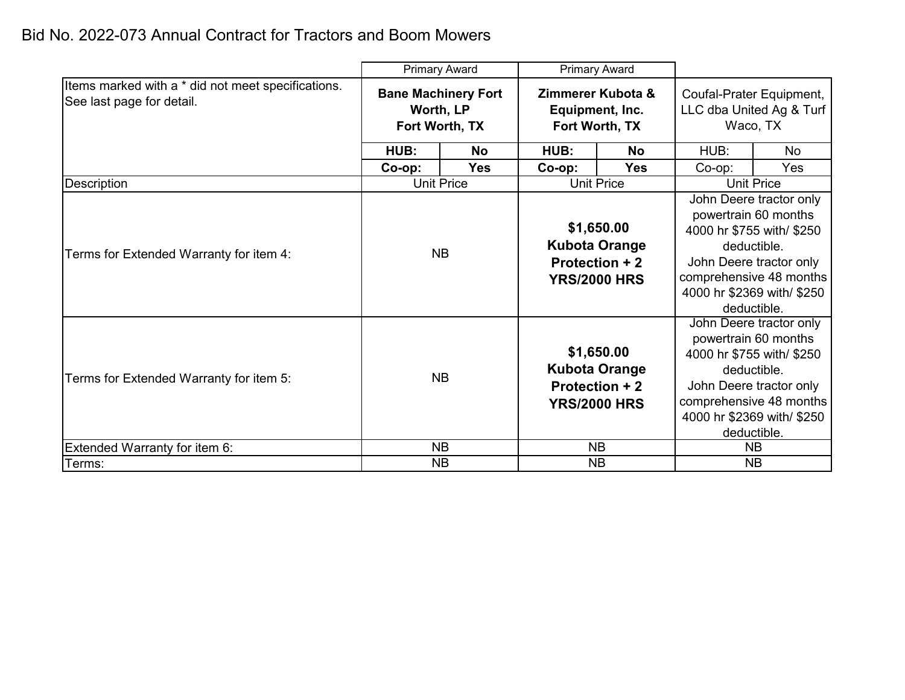|                                                                                 | <b>Primary Award</b>                                      |            | <b>Primary Award</b>                                                               |                   |                                                                                                                                                                                                |           |                                                        |  |                                                                  |  |
|---------------------------------------------------------------------------------|-----------------------------------------------------------|------------|------------------------------------------------------------------------------------|-------------------|------------------------------------------------------------------------------------------------------------------------------------------------------------------------------------------------|-----------|--------------------------------------------------------|--|------------------------------------------------------------------|--|
| Items marked with a * did not meet specifications.<br>See last page for detail. | <b>Bane Machinery Fort</b><br>Worth, LP<br>Fort Worth, TX |            |                                                                                    |                   |                                                                                                                                                                                                |           | Zimmerer Kubota &<br>Equipment, Inc.<br>Fort Worth, TX |  | Coufal-Prater Equipment,<br>LLC dba United Ag & Turf<br>Waco, TX |  |
|                                                                                 | HUB:                                                      | <b>No</b>  | HUB:                                                                               | <b>No</b>         | HUB:                                                                                                                                                                                           | <b>No</b> |                                                        |  |                                                                  |  |
|                                                                                 | $Co$ -op:                                                 | <b>Yes</b> | Co-op:                                                                             | <b>Yes</b>        | Co-op:                                                                                                                                                                                         | Yes       |                                                        |  |                                                                  |  |
| Description                                                                     | <b>Unit Price</b><br><b>Unit Price</b>                    |            |                                                                                    | <b>Unit Price</b> |                                                                                                                                                                                                |           |                                                        |  |                                                                  |  |
| Terms for Extended Warranty for item 4:                                         | <b>NB</b>                                                 |            | \$1,650.00<br><b>Kubota Orange</b><br>Protection + 2<br><b>YRS/2000 HRS</b>        |                   | John Deere tractor only<br>powertrain 60 months<br>4000 hr \$755 with/ \$250<br>deductible.<br>John Deere tractor only<br>comprehensive 48 months<br>4000 hr \$2369 with/ \$250<br>deductible. |           |                                                        |  |                                                                  |  |
| Terms for Extended Warranty for item 5:                                         |                                                           | <b>NB</b>  | \$1,650.00<br><b>Kubota Orange</b><br><b>Protection + 2</b><br><b>YRS/2000 HRS</b> |                   | John Deere tractor only<br>powertrain 60 months<br>4000 hr \$755 with/ \$250<br>deductible.<br>John Deere tractor only<br>comprehensive 48 months<br>4000 hr \$2369 with/ \$250<br>deductible. |           |                                                        |  |                                                                  |  |
| Extended Warranty for item 6:                                                   |                                                           | <b>NB</b>  |                                                                                    | <b>NB</b>         |                                                                                                                                                                                                | <b>NB</b> |                                                        |  |                                                                  |  |
| Terms:                                                                          | <b>NB</b>                                                 |            |                                                                                    | <b>NB</b>         | <b>NB</b>                                                                                                                                                                                      |           |                                                        |  |                                                                  |  |